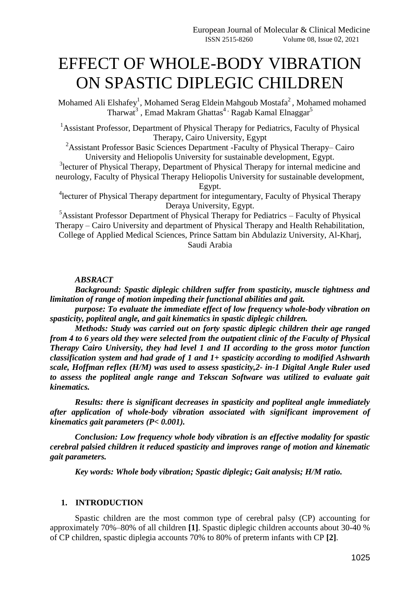# EFFECT OF WHOLE-BODY VIBRATION ON SPASTIC DIPLEGIC CHILDREN

Mohamed Ali Elshafey<sup>1</sup>, Mohamed Serag Eldein Mahgoub Mostafa<sup>2</sup>, Mohamed mohamed Tharwat<sup>3</sup>, Emad Makram Ghattas<sup>4,</sup> Ragab Kamal Elnaggar<sup>5</sup>

<sup>1</sup>Assistant Professor, Department of Physical Therapy for Pediatrics, Faculty of Physical Therapy, Cairo University, Egypt

<sup>2</sup>Assistant Professor Basic Sciences Department -Faculty of Physical Therapy– Cairo University and Heliopolis University for sustainable development, Egypt.

<sup>3</sup> lecturer of Physical Therapy, Department of Physical Therapy for internal medicine and neurology, Faculty of Physical Therapy Heliopolis University for sustainable development, Egypt.

<sup>4</sup> lecturer of Physical Therapy department for integumentary, Faculty of Physical Therapy Deraya University, Egypt.

 $5$ Assistant Professor Department of Physical Therapy for Pediatrics – Faculty of Physical Therapy – Cairo University and department of Physical Therapy and Health Rehabilitation, College of Applied Medical Sciences, Prince Sattam bin Abdulaziz University, Al-Kharj, Saudi Arabia

#### *ABSRACT*

*Background: Spastic diplegic children suffer from spasticity, muscle tightness and limitation of range of motion impeding their functional abilities and gait.*

*purpose: To evaluate the immediate effect of low frequency whole-body vibration on spasticity, popliteal angle, and gait kinematics in spastic diplegic children.*

*Methods: Study was carried out on forty spastic diplegic children their age ranged from 4 to 6 years old they were selected from the outpatient clinic of the Faculty of Physical Therapy Cairo University, they had level 1 and II according to the gross motor function classification system and had grade of 1 and 1+ spasticity according to modified Ashwarth scale, Hoffman reflex (H/M) was used to assess spasticity,2- in-1 Digital Angle Ruler used to assess the popliteal angle range and Tekscan Software was utilized to evaluate gait kinematics.*

*Results: there is significant decreases in spasticity and popliteal angle immediately after application of whole-body vibration associated with significant improvement of kinematics gait parameters (P< 0.001).* 

*Conclusion: Low frequency whole body vibration is an effective modality for spastic cerebral palsied children it reduced spasticity and improves range of motion and kinematic gait parameters.*

*Key words: Whole body vibration; Spastic diplegic; Gait analysis; H/M ratio.*

## **1. INTRODUCTION**

Spastic children are the most common type of cerebral palsy (CP) accounting for approximately 70%–80% of all children **[1]**. Spastic diplegic children accounts about 30-40 % of CP children, spastic diplegia accounts 70% to 80% of preterm infants with CP **[2]**.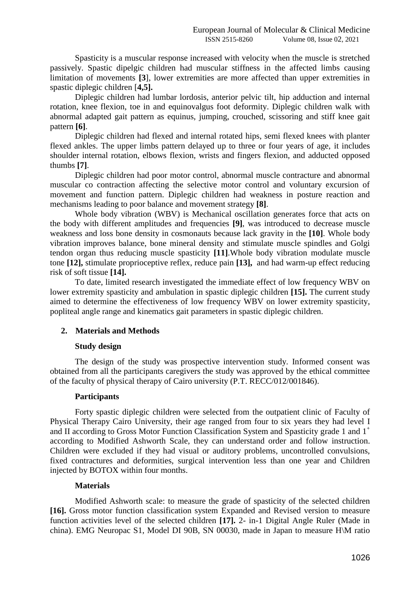Spasticity is a muscular response increased with velocity when the muscle is stretched passively. Spastic dipelgic children had muscular stiffness in the affected limbs causing limitation of movements **[3**], lower extremities are more affected than upper extremities in spastic diplegic children [**4,5].**

Diplegic children had lumbar lordosis, anterior pelvic tilt, hip adduction and internal rotation, knee flexion, toe in and equinovalgus foot deformity. Diplegic children walk with abnormal adapted gait pattern as equinus, jumping, crouched, scissoring and stiff knee gait pattern **[6]**.

Diplegic children had flexed and internal rotated hips, semi flexed knees with planter flexed ankles. The upper limbs pattern delayed up to three or four years of age, it includes shoulder internal rotation, elbows flexion, wrists and fingers flexion, and adducted opposed thumbs **[7]**.

Diplegic children had poor motor control, abnormal muscle contracture and abnormal muscular co contraction affecting the selective motor control and voluntary excursion of movement and function pattern. Diplegic children had weakness in posture reaction and mechanisms leading to poor balance and movement strategy **[8]**.

Whole body vibration (WBV) is Mechanical oscillation generates force that acts on the body with different amplitudes and frequencies **[9]**, was introduced to decrease muscle weakness and loss bone density in cosmonauts because lack gravity in the **[10]**. Whole body vibration improves balance, bone mineral density and stimulate muscle spindles and Golgi tendon organ thus reducing muscle spasticity **[11]**.Whole body vibration modulate muscle tone **[12],** stimulate proprioceptive reflex, reduce pain **[13],** and had warm-up effect reducing risk of soft tissue **[14].**

To date, limited research investigated the immediate effect of low frequency WBV on lower extremity spasticity and ambulation in spastic diplegic children **[15].** The current study aimed to determine the effectiveness of low frequency WBV on lower extremity spasticity, popliteal angle range and kinematics gait parameters in spastic diplegic children.

# **2. Materials and Methods**

## **Study design**

The design of the study was prospective intervention study. Informed consent was obtained from all the participants caregivers the study was approved by the ethical committee of the faculty of physical therapy of Cairo university (P.T. RECC/012/001846).

## **Participants**

Forty spastic diplegic children were selected from the outpatient clinic of Faculty of Physical Therapy Cairo University, their age ranged from four to six years they had level I and II according to Gross Motor Function Classification System and Spasticity grade 1 and  $1^+$ according to Modified Ashworth Scale, they can understand order and follow instruction. Children were excluded if they had visual or auditory problems, uncontrolled convulsions, fixed contractures and deformities, surgical intervention less than one year and Children injected by BOTOX within four months.

## **Materials**

Modified Ashworth scale: to measure the grade of spasticity of the selected children **[16].** Gross motor function classification system Expanded and Revised version to measure function activities level of the selected children **[17].** 2- in-1 Digital Angle Ruler (Made in china). EMG Neuropac S1, Model DI 90B, SN 00030, made in Japan to measure H\M ratio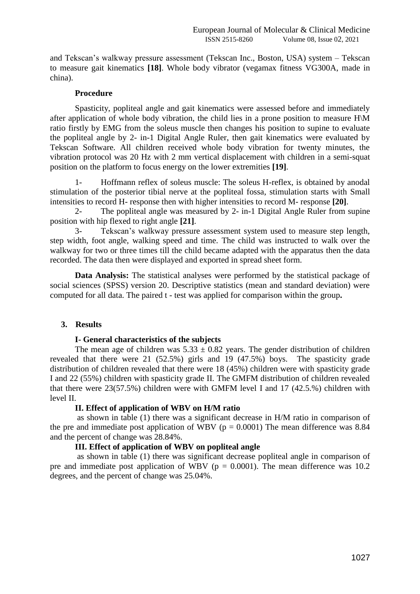and Tekscan's walkway pressure assessment (Tekscan Inc., Boston, USA) system – Tekscan to measure gait kinematics **[18]**. Whole body vibrator (vegamax fitness VG300A, made in china).

## **Procedure**

Spasticity, popliteal angle and gait kinematics were assessed before and immediately after application of whole body vibration, the child lies in a prone position to measure H\M ratio firstly by EMG from the soleus muscle then changes his position to supine to evaluate the popliteal angle by 2- in-1 Digital Angle Ruler, then gait kinematics were evaluated by Tekscan Software. All children received whole body vibration for twenty minutes, the vibration protocol was 20 Hz with 2 mm vertical displacement with children in a semi-squat position on the platform to focus energy on the lower extremities **[19]**.

1- Hoffmann reflex of soleus muscle: The soleus H-reflex, is obtained by anodal stimulation of the posterior tibial nerve at the popliteal fossa, stimulation starts with Small intensities to record H- response then with higher intensities to record M- response **[20]**.

2- The popliteal angle was measured by 2- in-1 Digital Angle Ruler from supine position with hip flexed to right angle **[21]**.

3- Tekscan's walkway pressure assessment system used to measure step length, step width, foot angle, walking speed and time. The child was instructed to walk over the walkway for two or three times till the child became adapted with the apparatus then the data recorded. The data then were displayed and exported in spread sheet form.

**Data Analysis:** The statistical analyses were performed by the statistical package of social sciences (SPSS) version 20. Descriptive statistics (mean and standard deviation) were computed for all data. The paired t - test was applied for comparison within the group**.**

# **3. Results**

# **I- General characteristics of the subjects**

The mean age of children was  $5.33 \pm 0.82$  years. The gender distribution of children revealed that there were 21 (52.5%) girls and 19 (47.5%) boys. The spasticity grade distribution of children revealed that there were 18 (45%) children were with spasticity grade I and 22 (55%) children with spasticity grade II. The GMFM distribution of children revealed that there were 23(57.5%) children were with GMFM level I and 17 (42.5.%) children with level II.

## **II. Effect of application of WBV on H/M ratio**

as shown in table (1) there was a significant decrease in H/M ratio in comparison of the pre and immediate post application of WBV ( $p = 0.0001$ ) The mean difference was 8.84 and the percent of change was 28.84%.

## **III. Effect of application of WBV on popliteal angle**

as shown in table (1) there was significant decrease popliteal angle in comparison of pre and immediate post application of WBV ( $p = 0.0001$ ). The mean difference was 10.2 degrees, and the percent of change was 25.04%.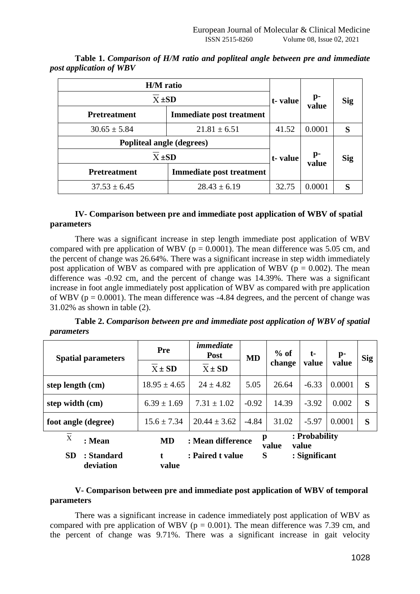| H/M ratio<br>$X \pm SD$          |                                 | t-value | p-                      | <b>Sig</b> |  |
|----------------------------------|---------------------------------|---------|-------------------------|------------|--|
| <b>Pretreatment</b>              | <b>Immediate post treatment</b> |         | value                   |            |  |
| $30.65 \pm 5.84$                 | $21.81 \pm 6.51$                | 41.52   | 0.0001                  |            |  |
| <b>Popliteal angle (degrees)</b> |                                 |         |                         |            |  |
| $X \pm SD$                       |                                 | t-value | $\mathbf{p}$ -<br>value | Sig        |  |
| <b>Pretreatment</b>              | Immediate post treatment        |         |                         |            |  |
| $37.53 \pm 6.45$                 | $28.43 \pm 6.19$                | 32.75   | 0.0001                  |            |  |

**Table 1.** *Comparison of H/M ratio and popliteal angle between pre and immediate post application of WBV*

## **IV- Comparison between pre and immediate post application of WBV of spatial parameters**

There was a significant increase in step length immediate post application of WBV compared with pre application of WBV ( $p = 0.0001$ ). The mean difference was 5.05 cm, and the percent of change was 26.64%. There was a significant increase in step width immediately post application of WBV as compared with pre application of WBV ( $p = 0.002$ ). The mean difference was -0.92 cm, and the percent of change was 14.39%. There was a significant increase in foot angle immediately post application of WBV as compared with pre application of WBV ( $p = 0.0001$ ). The mean difference was -4.84 degrees, and the percent of change was 31.02% as shown in table (2).

**Table 2.** *Comparison between pre and immediate post application of WBV of spatial parameters* 

| <b>Spatial parameters</b>                                                                       | Pre              | <i>immediate</i><br><b>Post</b> | <b>MD</b> | $%$ of<br>change | $t-$<br>value | $\mathbf{p}$ -<br>value | <b>Sig</b> |
|-------------------------------------------------------------------------------------------------|------------------|---------------------------------|-----------|------------------|---------------|-------------------------|------------|
|                                                                                                 | $X \pm SD$       | $X \pm SD$                      |           |                  |               |                         |            |
| step length (cm)                                                                                | $18.95 \pm 4.65$ | $24 \pm 4.82$                   | 5.05      | 26.64            | $-6.33$       | 0.0001                  | S          |
| step width (cm)                                                                                 | $6.39 \pm 1.69$  | $7.31 \pm 1.02$                 | $-0.92$   | 14.39            | $-3.92$       | 0.002                   | S          |
| foot angle (degree)                                                                             | $15.6 \pm 7.34$  | $20.44 \pm 3.62$                | $-4.84$   | 31.02            | $-5.97$       | 0.0001                  | S          |
| : Probability<br>p<br>$\mathbf X$<br>: Mean difference<br>: Mean<br><b>MD</b><br>value<br>value |                  |                                 |           |                  |               |                         |            |
| : Paired t value<br>S<br><b>SD</b><br>: Standard<br>: Significant<br>deviation<br>value         |                  |                                 |           |                  |               |                         |            |

# **V- Comparison between pre and immediate post application of WBV of temporal parameters**

There was a significant increase in cadence immediately post application of WBV as compared with pre application of WBV ( $p = 0.001$ ). The mean difference was 7.39 cm, and the percent of change was 9.71%. There was a significant increase in gait velocity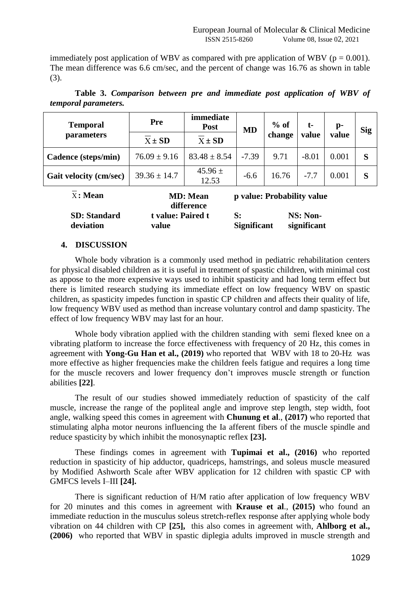immediately post application of WBV as compared with pre application of WBV ( $p = 0.001$ ). The mean difference was 6.6 cm/sec, and the percent of change was 16.76 as shown in table (3).

| <b>Temporal</b>                                                                       | Pre               | immediate<br><b>Post</b> | <b>MD</b> | $%$ of | t-       | p-    | <b>Sig</b> |
|---------------------------------------------------------------------------------------|-------------------|--------------------------|-----------|--------|----------|-------|------------|
| parameters                                                                            | $X \pm SD$        | $X \pm SD$               |           | change | value    | value |            |
| Cadence (steps/min)                                                                   | $76.09 \pm 9.16$  | $83.48 \pm 8.54$         | $-7.39$   | 9.71   | $-8.01$  | 0.001 | S          |
| <b>Gait velocity (cm/sec)</b>                                                         | $39.36 \pm 14.7$  | $45.96 \pm$<br>12.53     | $-6.6$    | 16.76  | $-7.7$   | 0.001 | S          |
| $\overline{X}$ : Mean<br>p value: Probability value<br><b>MD</b> : Mean<br>difference |                   |                          |           |        |          |       |            |
| <b>SD</b> : Standard                                                                  | t value: Paired t |                          | S:        |        | NS: Non- |       |            |

**value**

**Table 3.** *Comparison between pre and immediate post application of WBV of temporal parameters.*

## **4. DISCUSSION**

**deviation**

Whole body vibration is a commonly used method in pediatric rehabilitation centers for physical disabled children as it is useful in treatment of spastic children, with minimal cost as appose to the more expensive ways used to inhibit spasticity and had long term effect but there is limited research studying its immediate effect on low frequency WBV on spastic children, as spasticity impedes function in spastic CP children and affects their quality of life, low frequency WBV used as method than increase voluntary control and damp spasticity. The effect of low frequency WBV may last for an hour.

**Significant**

**significant**

Whole body vibration applied with the children standing with semi flexed knee on a vibrating platform to increase the force effectiveness with frequency of 20 Hz, this comes in agreement with **Yong-Gu Han et al., (2019)** who reported that WBV with 18 to 20-Hz was more effective as higher frequencies make the children feels fatigue and requires a long time for the muscle recovers and lower frequency don't improves muscle strength or function abilities **[22]**.

The result of our studies showed immediately reduction of spasticity of the calf muscle, increase the range of the popliteal angle and improve step length, step width, foot angle, walking speed this comes in agreement with **Chunung et al**., **(2017)** who reported that stimulating alpha motor neurons influencing the Ia afferent fibers of the muscle spindle and reduce spasticity by which inhibit the monosynaptic reflex **[23].**

These findings comes in agreement with **Tupimai et al., (2016)** who reported reduction in spasticity of hip adductor, quadriceps, hamstrings, and soleus muscle measured by Modified Ashworth Scale after WBV application for 12 children with spastic CP with GMFCS levels I–III **[24].** 

There is significant reduction of H/M ratio after application of low frequency WBV for 20 minutes and this comes in agreement with **Krause et al**., **(2015)** who found an immediate reduction in the musculus soleus stretch-reflex response after applying whole body vibration on 44 children with CP **[25],** this also comes in agreement with, **Ahlborg et al., (2006)** who reported that WBV in spastic diplegia adults improved in muscle strength and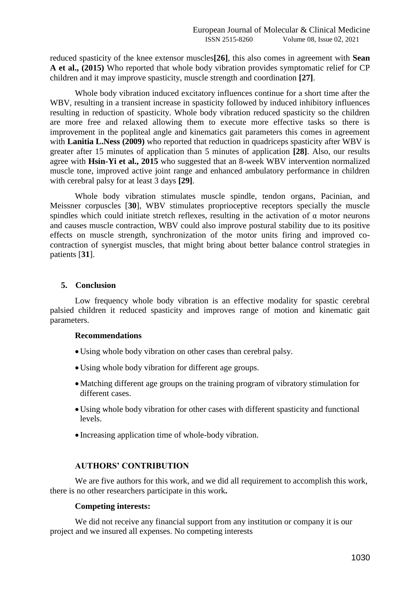reduced spasticity of the knee extensor muscles**[26]**, this also comes in agreement with **Sean A et al., (2015)** Who reported that whole body vibration provides symptomatic relief for CP children and it may improve spasticity, muscle strength and coordination **[27]**.

Whole body vibration induced excitatory influences continue for a short time after the WBV, resulting in a transient increase in spasticity followed by induced inhibitory influences resulting in reduction of spasticity. Whole body vibration reduced spasticity so the children are more free and relaxed allowing them to execute more effective tasks so there is improvement in the popliteal angle and kinematics gait parameters this comes in agreement with **Lanitia L.Ness (2009)** who reported that reduction in quadriceps spasticity after WBV is greater after 15 minutes of application than 5 minutes of application **[28]**. Also, our results agree with **Hsin-Yi et al., 2015** who suggested that an 8-week WBV intervention normalized muscle tone, improved active joint range and enhanced ambulatory performance in children with cerebral palsy for at least 3 days **[29]**.

Whole body vibration stimulates muscle spindle, tendon organs, Pacinian, and Meissner corpuscles [**30**], WBV stimulates proprioceptive receptors specially the muscle spindles which could initiate stretch reflexes, resulting in the activation of  $\alpha$  motor neurons and causes muscle contraction, WBV could also improve postural stability due to its positive effects on muscle strength, synchronization of the motor units firing and improved cocontraction of synergist muscles, that might bring about better balance control strategies in patients [**31**].

# **5. Conclusion**

Low frequency whole body vibration is an effective modality for spastic cerebral palsied children it reduced spasticity and improves range of motion and kinematic gait parameters.

## **Recommendations**

- Using whole body vibration on other cases than cerebral palsy.
- Using whole body vibration for different age groups.
- Matching different age groups on the training program of vibratory stimulation for different cases.
- Using whole body vibration for other cases with different spasticity and functional levels.
- Increasing application time of whole-body vibration.

# **AUTHORS' CONTRIBUTION**

We are five authors for this work, and we did all requirement to accomplish this work, there is no other researchers participate in this work**.**

## **Competing interests:**

We did not receive any financial support from any institution or company it is our project and we insured all expenses. No competing interests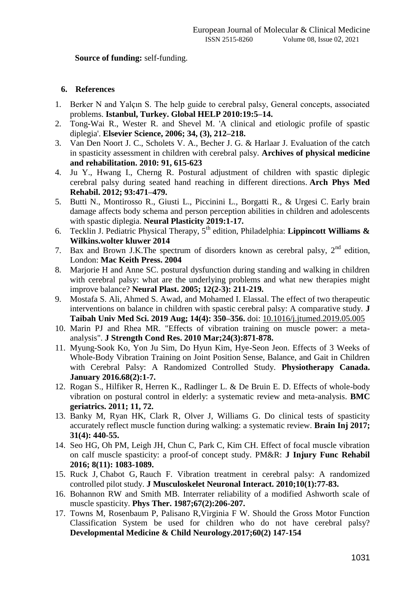# **Source of funding:** self-funding.

## **6. References**

- 1. Berker N and Yalçın S. The help guide to cerebral palsy, General concepts, associated problems. **Istanbul, Turkey. Global HELP 2010:19:5–14.**
- 2. Tong-Wai R., Wester R. and Shevel M. 'A clinical and etiologic profile of spastic diplegia'. **Elsevier Science, 2006; 34, (3), 212–218.**
- 3. Van Den Noort J. C., Scholets V. A., Becher J. G. & Harlaar J. Evaluation of the catch in spasticity assessment in children with cerebral palsy. **Archives of physical medicine and rehabilitation. 2010: 91, 615-623**
- 4. Ju Y., Hwang I., Cherng R. Postural adjustment of children with spastic diplegic cerebral palsy during seated hand reaching in different directions. **Arch Phys Med Rehabil. 2012; 93:471–479.**
- 5. Butti N., Montirosso R., Giusti L., Piccinini L., Borgatti R., & Urgesi C. Early brain damage affects body schema and person perception abilities in children and adolescents with spastic diplegia. **Neural Plasticity 2019:1-17.**
- 6. Tecklin J. Pediatric Physical Therapy, 5th edition, Philadelphia: **Lippincott Williams & Wilkins.wolter kluwer 2014**
- 7. Bax and Brown J.K.The spectrum of disorders known as cerebral palsy, 2<sup>nd</sup> edition, London: **Mac Keith Press. 2004**
- 8. Marjorie H and Anne SC. postural dysfunction during standing and walking in children with cerebral palsy: what are the underlying problems and what new therapies might improve balance? **Neural Plast. 2005; 12(2-3): 211-219.**
- 9. Mostafa S. Ali, Ahmed S. Awad, and Mohamed I. Elassal. The effect of two therapeutic interventions on balance in children with spastic cerebral palsy: A comparative study. **J Taibah Univ Med Sci. 2019 Aug; 14(4): 350–356.** doi: [10.1016/j.jtumed.2019.05.005](https://dx.doi.org/10.1016%2Fj.jtumed.2019.05.005)
- 10. Marin PJ and Rhea MR. "Effects of vibration training on muscle power: a metaanalysis". **J Strength Cond Res. 2010 Mar;24(3):871-878.**
- 11. Myung-Sook Ko, Yon Ju Sim, Do Hyun Kim, Hye-Seon Jeon. Effects of 3 Weeks of Whole-Body Vibration Training on Joint Position Sense, Balance, and Gait in Children with Cerebral Palsy: A Randomized Controlled Study. **Physiotherapy Canada. January 2016.68(2):1-7.**
- 12. Rogan S., Hilfiker R, Herren K., Radlinger L. & De Bruin E. D. Effects of whole-body vibration on postural control in elderly: a systematic review and meta-analysis. **BMC geriatrics. 2011; 11, 72.**
- 13. Banky M, Ryan HK, Clark R, Olver J, Williams G. Do clinical tests of spasticity accurately reflect muscle function during walking: a systematic review. **Brain Inj 2017; 31(4): 440-55.**
- 14. Seo HG, Oh PM, Leigh JH, Chun C, Park C, Kim CH. Effect of focal muscle vibration on calf muscle spasticity: a proof-of concept study. PM&R: **J Injury Func Rehabil 2016; 8(11): 1083-1089.**
- 15. Ruck J, Chabot G, Rauch F. Vibration treatment in cerebral palsy: A randomized controlled pilot study. **J Musculoskelet Neuronal Interact. 2010;10(1):77-83.**
- 16. Bohannon RW and Smith MB. Interrater reliability of a modified Ashworth scale of muscle spasticity. **Phys Ther. 1987;67(2):206-207.**
- 17. Towns M, Rosenbaum P, Palisano R,Virginia F W. Should the Gross Motor Function Classification System be used for children who do not have cerebral palsy? **Developmental Medicine & Child Neurology.2017;60(2) 147-154**